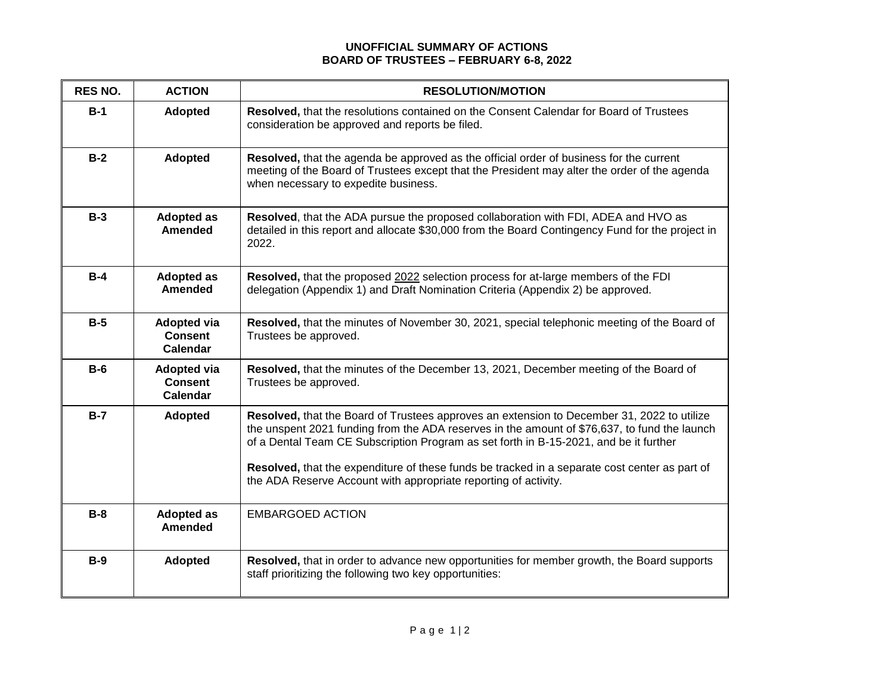## **UNOFFICIAL SUMMARY OF ACTIONS BOARD OF TRUSTEES – FEBRUARY 6-8, 2022**

| RES NO. | <b>ACTION</b>                                           | <b>RESOLUTION/MOTION</b>                                                                                                                                                                                                                                                                                                                                                                                                                                |
|---------|---------------------------------------------------------|---------------------------------------------------------------------------------------------------------------------------------------------------------------------------------------------------------------------------------------------------------------------------------------------------------------------------------------------------------------------------------------------------------------------------------------------------------|
| $B-1$   | <b>Adopted</b>                                          | Resolved, that the resolutions contained on the Consent Calendar for Board of Trustees<br>consideration be approved and reports be filed.                                                                                                                                                                                                                                                                                                               |
| $B-2$   | Adopted                                                 | Resolved, that the agenda be approved as the official order of business for the current<br>meeting of the Board of Trustees except that the President may alter the order of the agenda<br>when necessary to expedite business.                                                                                                                                                                                                                         |
| $B-3$   | <b>Adopted as</b><br><b>Amended</b>                     | Resolved, that the ADA pursue the proposed collaboration with FDI, ADEA and HVO as<br>detailed in this report and allocate \$30,000 from the Board Contingency Fund for the project in<br>2022.                                                                                                                                                                                                                                                         |
| $B-4$   | <b>Adopted as</b><br><b>Amended</b>                     | Resolved, that the proposed 2022 selection process for at-large members of the FDI<br>delegation (Appendix 1) and Draft Nomination Criteria (Appendix 2) be approved.                                                                                                                                                                                                                                                                                   |
| $B-5$   | <b>Adopted via</b><br><b>Consent</b><br><b>Calendar</b> | Resolved, that the minutes of November 30, 2021, special telephonic meeting of the Board of<br>Trustees be approved.                                                                                                                                                                                                                                                                                                                                    |
| $B-6$   | <b>Adopted via</b><br><b>Consent</b><br>Calendar        | Resolved, that the minutes of the December 13, 2021, December meeting of the Board of<br>Trustees be approved.                                                                                                                                                                                                                                                                                                                                          |
| $B-7$   | <b>Adopted</b>                                          | Resolved, that the Board of Trustees approves an extension to December 31, 2022 to utilize<br>the unspent 2021 funding from the ADA reserves in the amount of \$76,637, to fund the launch<br>of a Dental Team CE Subscription Program as set forth in B-15-2021, and be it further<br>Resolved, that the expenditure of these funds be tracked in a separate cost center as part of<br>the ADA Reserve Account with appropriate reporting of activity. |
| $B-8$   | <b>Adopted as</b><br><b>Amended</b>                     | <b>EMBARGOED ACTION</b>                                                                                                                                                                                                                                                                                                                                                                                                                                 |
| $B-9$   | Adopted                                                 | Resolved, that in order to advance new opportunities for member growth, the Board supports<br>staff prioritizing the following two key opportunities:                                                                                                                                                                                                                                                                                                   |